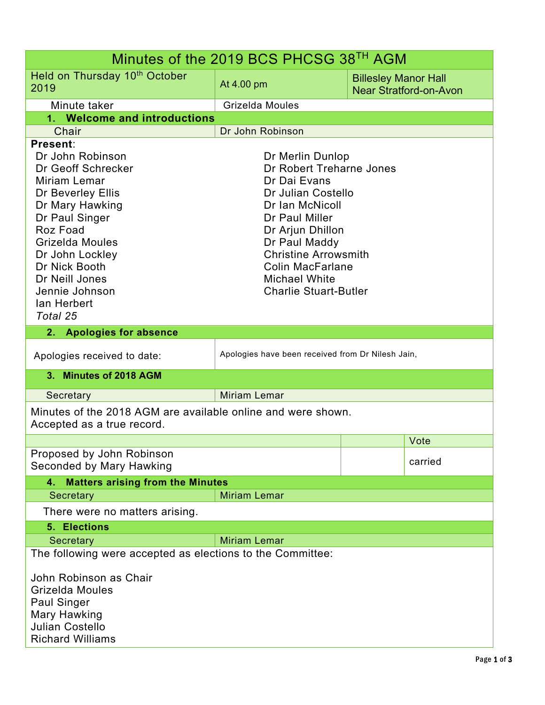| Minutes of the 2019 BCS PHCSG 38TH AGM                                                                                                                                                                                                                         |                                                                                                                                                                                                                                                                                |                                                              |         |  |  |
|----------------------------------------------------------------------------------------------------------------------------------------------------------------------------------------------------------------------------------------------------------------|--------------------------------------------------------------------------------------------------------------------------------------------------------------------------------------------------------------------------------------------------------------------------------|--------------------------------------------------------------|---------|--|--|
| Held on Thursday 10 <sup>th</sup> October<br>2019                                                                                                                                                                                                              | At 4.00 pm                                                                                                                                                                                                                                                                     | <b>Billesley Manor Hall</b><br><b>Near Stratford-on-Avon</b> |         |  |  |
| Minute taker                                                                                                                                                                                                                                                   | Grizelda Moules                                                                                                                                                                                                                                                                |                                                              |         |  |  |
| 1. Welcome and introductions                                                                                                                                                                                                                                   |                                                                                                                                                                                                                                                                                |                                                              |         |  |  |
| Chair                                                                                                                                                                                                                                                          | Dr John Robinson                                                                                                                                                                                                                                                               |                                                              |         |  |  |
| Present:<br>Dr John Robinson<br>Dr Geoff Schrecker<br>Miriam Lemar<br>Dr Beverley Ellis<br>Dr Mary Hawking<br>Dr Paul Singer<br>Roz Foad<br>Grizelda Moules<br>Dr John Lockley<br>Dr Nick Booth<br>Dr Neill Jones<br>Jennie Johnson<br>lan Herbert<br>Total 25 | Dr Merlin Dunlop<br>Dr Robert Treharne Jones<br>Dr Dai Evans<br>Dr Julian Costello<br>Dr Ian McNicoll<br>Dr Paul Miller<br>Dr Arjun Dhillon<br>Dr Paul Maddy<br><b>Christine Arrowsmith</b><br><b>Colin MacFarlane</b><br><b>Michael White</b><br><b>Charlie Stuart-Butler</b> |                                                              |         |  |  |
| <b>Apologies for absence</b><br>2.                                                                                                                                                                                                                             |                                                                                                                                                                                                                                                                                |                                                              |         |  |  |
| Apologies received to date:                                                                                                                                                                                                                                    | Apologies have been received from Dr Nilesh Jain,                                                                                                                                                                                                                              |                                                              |         |  |  |
| 3. Minutes of 2018 AGM                                                                                                                                                                                                                                         |                                                                                                                                                                                                                                                                                |                                                              |         |  |  |
| Secretary                                                                                                                                                                                                                                                      | <b>Miriam Lemar</b>                                                                                                                                                                                                                                                            |                                                              |         |  |  |
| Minutes of the 2018 AGM are available online and were shown.<br>Accepted as a true record.                                                                                                                                                                     |                                                                                                                                                                                                                                                                                |                                                              |         |  |  |
|                                                                                                                                                                                                                                                                |                                                                                                                                                                                                                                                                                |                                                              | Vote    |  |  |
| Proposed by John Robinson<br>Seconded by Mary Hawking                                                                                                                                                                                                          |                                                                                                                                                                                                                                                                                |                                                              | carried |  |  |
| <b>Matters arising from the Minutes</b><br>4.                                                                                                                                                                                                                  |                                                                                                                                                                                                                                                                                |                                                              |         |  |  |
| Secretary                                                                                                                                                                                                                                                      | <b>Miriam Lemar</b>                                                                                                                                                                                                                                                            |                                                              |         |  |  |
| There were no matters arising.                                                                                                                                                                                                                                 |                                                                                                                                                                                                                                                                                |                                                              |         |  |  |
| 5. Elections                                                                                                                                                                                                                                                   |                                                                                                                                                                                                                                                                                |                                                              |         |  |  |
| Secretary                                                                                                                                                                                                                                                      | <b>Miriam Lemar</b>                                                                                                                                                                                                                                                            |                                                              |         |  |  |
| The following were accepted as elections to the Committee:<br>John Robinson as Chair<br>Grizelda Moules<br><b>Paul Singer</b><br>Mary Hawking<br><b>Julian Costello</b><br><b>Richard Williams</b>                                                             |                                                                                                                                                                                                                                                                                |                                                              |         |  |  |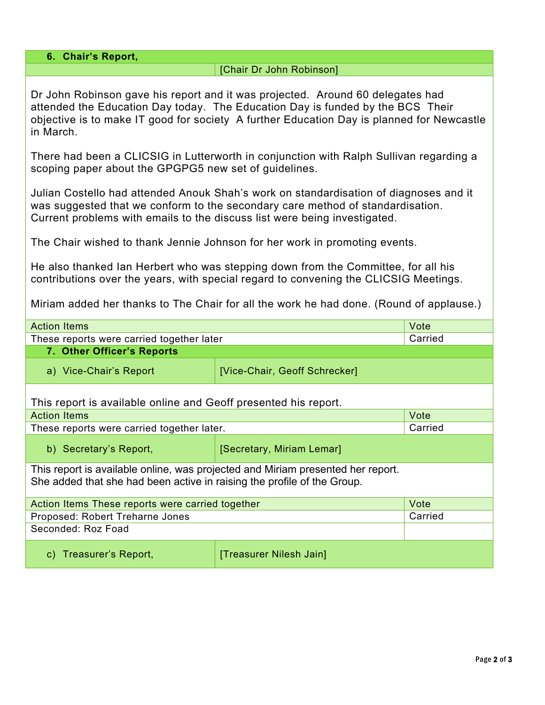| 6. Chair's Report,                                                                                                                                                                                                                                                         |                                                                                         |         |  |  |
|----------------------------------------------------------------------------------------------------------------------------------------------------------------------------------------------------------------------------------------------------------------------------|-----------------------------------------------------------------------------------------|---------|--|--|
| [Chair Dr John Robinson]                                                                                                                                                                                                                                                   |                                                                                         |         |  |  |
| Dr John Robinson gave his report and it was projected. Around 60 delegates had<br>attended the Education Day today. The Education Day is funded by the BCS Their<br>objective is to make IT good for society A further Education Day is planned for Newcastle<br>in March. |                                                                                         |         |  |  |
| There had been a CLICSIG in Lutterworth in conjunction with Ralph Sullivan regarding a<br>scoping paper about the GPGPG5 new set of guidelines.                                                                                                                            |                                                                                         |         |  |  |
| Julian Costello had attended Anouk Shah's work on standardisation of diagnoses and it<br>was suggested that we conform to the secondary care method of standardisation.<br>Current problems with emails to the discuss list were being investigated.                       |                                                                                         |         |  |  |
| The Chair wished to thank Jennie Johnson for her work in promoting events.                                                                                                                                                                                                 |                                                                                         |         |  |  |
| He also thanked Ian Herbert who was stepping down from the Committee, for all his<br>contributions over the years, with special regard to convening the CLICSIG Meetings.                                                                                                  |                                                                                         |         |  |  |
|                                                                                                                                                                                                                                                                            | Miriam added her thanks to The Chair for all the work he had done. (Round of applause.) |         |  |  |
| <b>Action Items</b>                                                                                                                                                                                                                                                        |                                                                                         | Vote    |  |  |
| These reports were carried together later                                                                                                                                                                                                                                  |                                                                                         | Carried |  |  |
| 7. Other Officer's Reports                                                                                                                                                                                                                                                 |                                                                                         |         |  |  |
| a) Vice-Chair's Report                                                                                                                                                                                                                                                     | [Vice-Chair, Geoff Schrecker]                                                           |         |  |  |
| This report is available online and Geoff presented his report.                                                                                                                                                                                                            |                                                                                         |         |  |  |
| <b>Action Items</b>                                                                                                                                                                                                                                                        |                                                                                         | Vote    |  |  |
| These reports were carried together later.                                                                                                                                                                                                                                 |                                                                                         | Carried |  |  |
| b) Secretary's Report,                                                                                                                                                                                                                                                     | [Secretary, Miriam Lemar]                                                               |         |  |  |
| This report is available online, was projected and Miriam presented her report.<br>She added that she had been active in raising the profile of the Group.                                                                                                                 |                                                                                         |         |  |  |
| Action Items These reports were carried together                                                                                                                                                                                                                           |                                                                                         | Vote    |  |  |
| Proposed: Robert Treharne Jones                                                                                                                                                                                                                                            |                                                                                         | Carried |  |  |
| Seconded: Roz Foad                                                                                                                                                                                                                                                         |                                                                                         |         |  |  |
| c) Treasurer's Report,                                                                                                                                                                                                                                                     | [Treasurer Nilesh Jain]                                                                 |         |  |  |